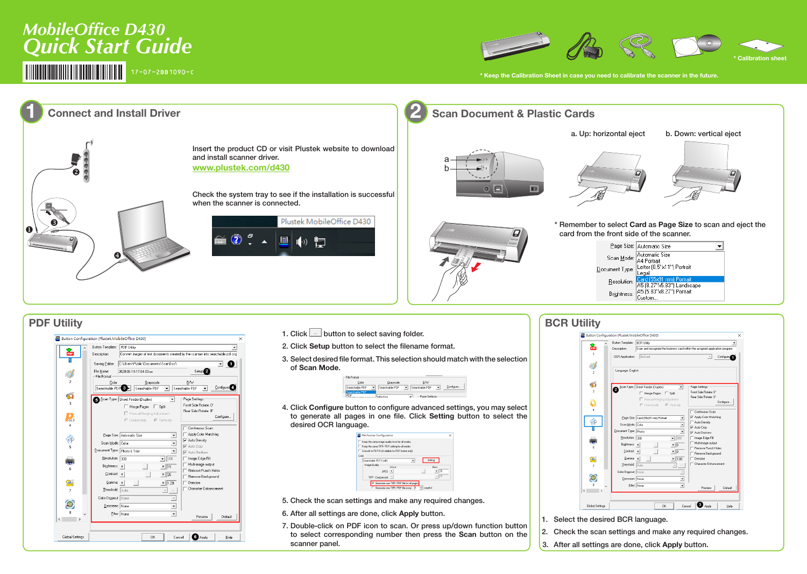

- 2. Check the scan settings and make any required changes. 3. After all settings are done, click **Apply** button.
- 

| Button Template:                        | <b>BCR Utility</b>                                                                                           | $\blacktriangledown$                                                          |  |
|-----------------------------------------|--------------------------------------------------------------------------------------------------------------|-------------------------------------------------------------------------------|--|
| Description:                            | Scan and recognize the business card within the assigned application program.                                |                                                                               |  |
| OCR Application:                        | BizCard<br>Configure<br>$\overline{\phantom{a}}$                                                             |                                                                               |  |
| Language: English                       |                                                                                                              |                                                                               |  |
| 2                                       | Scan Type: Sheet Feeder (Duplex)<br>$\blacktriangledown$<br>Merge Pages   Split<br>Manual Merging Adjustment | Page Settings<br>Front Side Rotate: 0°<br>Rear Side Rotate: 0°<br>Configure   |  |
| Scan Mode: Color                        | C Horizontally<br>C Vertically<br>Page Size: Card (55x91 mm) Portrait<br>$\overline{\phantom{0}}$            | Continuous Scan<br>Apply Color Matching<br>Auto Density<br><b>V</b> Auto Crop |  |
| Document Type: Photo<br>Resolution: 300 | $\overline{\phantom{0}}$ 300                                                                                 | Auto Deskew<br>Image Edge Fill                                                |  |
| Brightness: 4<br>Contrast: 4            | $\cdot$   $\overline{0}$<br>$\mathbf{F}$                                                                     | Multi-image output<br>Remove Punch Holes<br>Remove Background                 |  |
| Gamma: 4<br>Ihreshold: Auto             | $\blacktriangleright$   1.00<br>$\mathbf{v}$                                                                 | Denoise<br>Character Enhancement                                              |  |
| Color Dropout: None<br>Descreen: None   | $\overline{\phantom{a}}$                                                                                     |                                                                               |  |
|                                         | Eilter: None<br>۰                                                                                            | Preview<br>Default                                                            |  |

# *MobileOffice D430 Quick Start Guide*  $17 - 07 - 2BB1090 - C$



to select corresponding number then press the **Scan** button on the

scanner panel.

Cancel **@** Apply

 $\mathop{\hbox{\rm He}}\nolimits$ 

 $-0K$ 

Global Settings